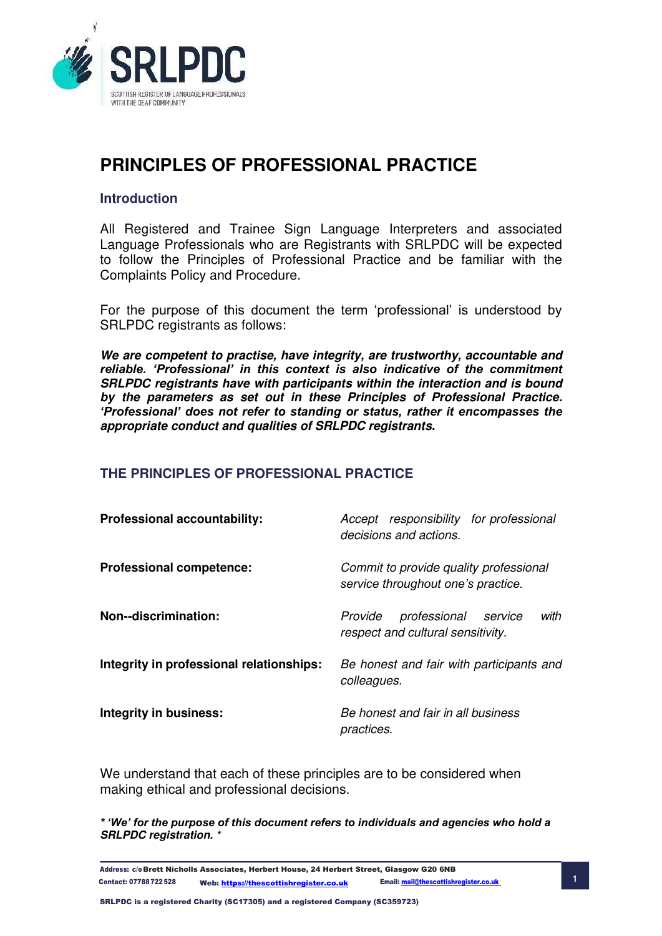

### **Introduction**

All Registered and Trainee Sign Language Interpreters and associated Language Professionals who are Registrants with SRLPDC will be expected to follow the Principles of Professional Practice and be familiar with the Complaints Policy and Procedure.

For the purpose of this document the term 'professional' is understood by SRLPDC registrants as follows:

**We are competent to practise, have integrity, are trustworthy, accountable and**  *reliable. 'Professional' in this context is also indicative of the commitment* **SRLPDC registrants have with participants within the interaction and is bound by the parameters as set out in these Principles of Professional Practice.**  *'Professional' does not refer to standing or status, rather it encompasses the*  **appropriate conduct and qualities of SRLPDC registrants.** 

### **THE PRINCIPLES OF PROFESSIONAL PRACTICE**

| <b>Professional accountability:</b>      | Accept responsibility for professional<br>decisions and actions.                |
|------------------------------------------|---------------------------------------------------------------------------------|
| <b>Professional competence:</b>          | Commit to provide quality professional<br>service throughout one's practice.    |
| Non--discrimination:                     | with<br>professional<br>Provide<br>service<br>respect and cultural sensitivity. |
| Integrity in professional relationships: | Be honest and fair with participants and<br>colleagues.                         |
| Integrity in business:                   | Be honest and fair in all business<br>practices.                                |

We understand that each of these principles are to be considered when making ethical and professional decisions.

*\* 'We' for the purpose of this document refers to individuals and agencies who hold a*  **SRLPDC registration. \*** 

Address: c/o Brett Nicholls Associates, Herbert House, 24 Herbert Street, Glasgow G20 6NB **1** Contact: 07788 722 528 Web[: https://thescottishregister.co.uk](https://thescottishregister.co.uk/) Email[: mail@thescottishregister.co.uk](mailto:mail@thescottishregister.co.uk)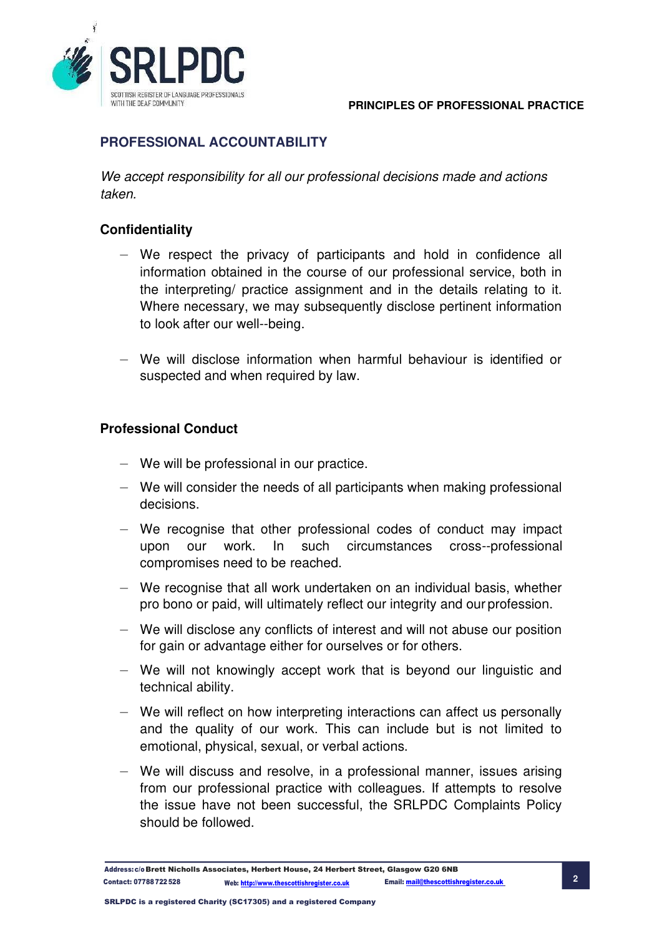

# **PROFESSIONAL ACCOUNTABILITY**

We accept responsibility for all our professional decisions made and actions taken.

### **Confidentiality**

- We respect the privacy of participants and hold in confidence all information obtained in the course of our professional service, both in the interpreting/ practice assignment and in the details relating to it. Where necessary, we may subsequently disclose pertinent information to look after our well--being.
- We will disclose information when harmful behaviour is identified or suspected and when required by law.

### **Professional Conduct**

- We will be professional in our practice.
- We will consider the needs of all participants when making professional decisions.
- We recognise that other professional codes of conduct may impact upon our work. In such circumstances cross--professional compromises need to be reached.
- We recognise that all work undertaken on an individual basis, whether pro bono or paid, will ultimately reflect our integrity and our profession.
- We will disclose any conflicts of interest and will not abuse our position for gain or advantage either for ourselves or for others.
- We will not knowingly accept work that is beyond our linguistic and technical ability.
- We will reflect on how interpreting interactions can affect us personally and the quality of our work. This can include but is not limited to emotional, physical, sexual, or verbal actions.
- We will discuss and resolve, in a professional manner, issues arising from our professional practice with colleagues. If attempts to resolve the issue have not been successful, the SRLPDC Complaints Policy should be followed.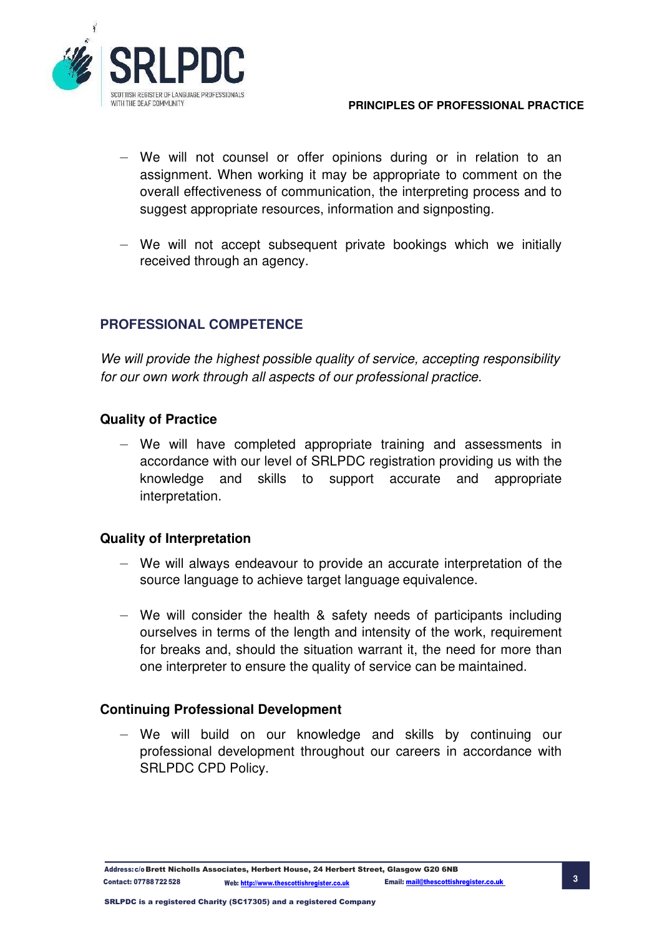

- We will not counsel or offer opinions during or in relation to an assignment. When working it may be appropriate to comment on the overall effectiveness of communication, the interpreting process and to suggest appropriate resources, information and signposting.
- We will not accept subsequent private bookings which we initially received through an agency.

### **PROFESSIONAL COMPETENCE**

We will provide the highest possible quality of service, accepting responsibility for our own work through all aspects of our professional practice.

### **Quality of Practice**

— We will have completed appropriate training and assessments in accordance with our level of SRLPDC registration providing us with the knowledge and skills to support accurate and appropriate interpretation.

### **Quality of Interpretation**

- We will always endeavour to provide an accurate interpretation of the source language to achieve target language equivalence.
- We will consider the health & safety needs of participants including ourselves in terms of the length and intensity of the work, requirement for breaks and, should the situation warrant it, the need for more than one interpreter to ensure the quality of service can be maintained.

### **Continuing Professional Development**

We will build on our knowledge and skills by continuing our professional development throughout our careers in accordance with SRLPDC CPD Policy.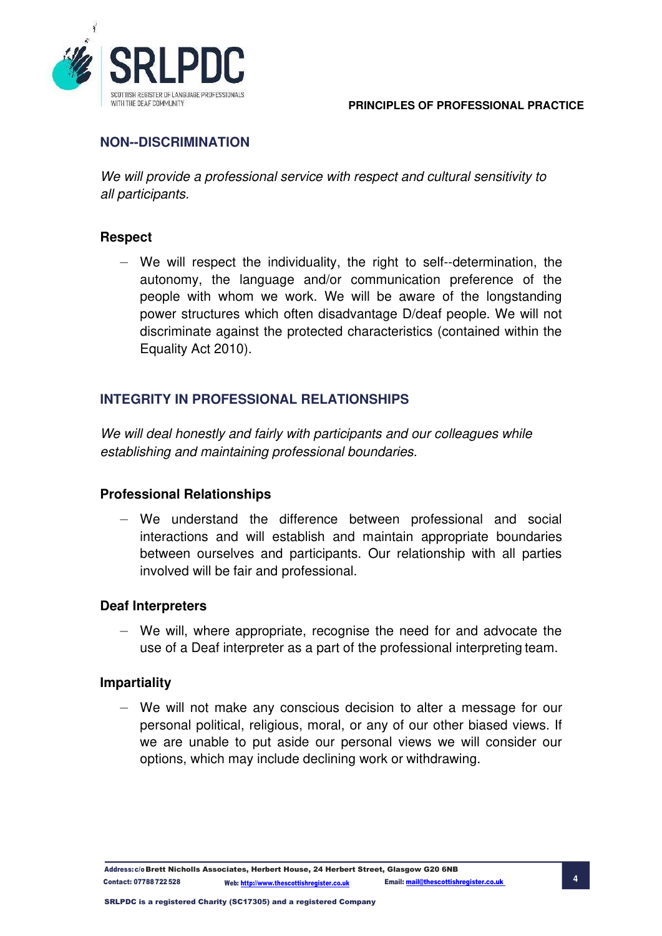

# **NON--DISCRIMINATION**

We will provide a professional service with respect and cultural sensitivity to all participants.

### **Respect**

— We will respect the individuality, the right to self--determination, the autonomy, the language and/or communication preference of the people with whom we work. We will be aware of the longstanding power structures which often disadvantage D/deaf people. We will not discriminate against the protected characteristics (contained within the Equality Act 2010).

## **INTEGRITY IN PROFESSIONAL RELATIONSHIPS**

We will deal honestly and fairly with participants and our colleagues while establishing and maintaining professional boundaries.

### **Professional Relationships**

— We understand the difference between professional and social interactions and will establish and maintain appropriate boundaries between ourselves and participants. Our relationship with all parties involved will be fair and professional.

### **Deaf Interpreters**

— We will, where appropriate, recognise the need for and advocate the use of a Deaf interpreter as a part of the professional interpreting team.

### **Impartiality**

We will not make any conscious decision to alter a message for our personal political, religious, moral, or any of our other biased views. If we are unable to put aside our personal views we will consider our options, which may include declining work or withdrawing.